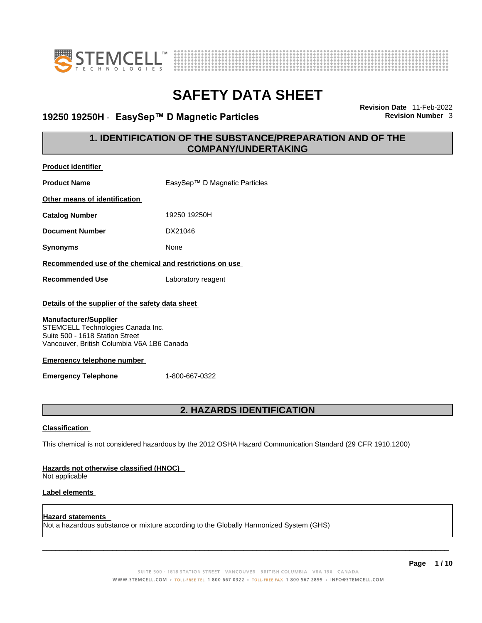



### **19250 19250H** - **EasySep™ D Magnetic Particles Revision Number** 3

**Revision Date** 11-Feb-2022

### **1. IDENTIFICATION OF THE SUBSTANCE/PREPARATION AND OF THE COMPANY/UNDERTAKING**

|                                                                      | <b>2. HAZARDS IDENTIFICATION</b> |
|----------------------------------------------------------------------|----------------------------------|
| <b>Emergency Telephone</b>                                           | 1-800-667-0322                   |
|                                                                      |                                  |
| <b>Emergency telephone number</b>                                    |                                  |
| Vancouver, British Columbia V6A 1B6 Canada                           |                                  |
| STEMCELL Technologies Canada Inc.<br>Suite 500 - 1618 Station Street |                                  |
| <b>Manufacturer/Supplier</b>                                         |                                  |
| Details of the supplier of the safety data sheet                     |                                  |
| <b>Recommended Use</b>                                               | Laboratory reagent               |
| Recommended use of the chemical and restrictions on use              |                                  |
|                                                                      |                                  |
| <b>Synonyms</b>                                                      | None                             |
| <b>Document Number</b>                                               | DX21046                          |
| <b>Catalog Number</b>                                                | 19250 19250H                     |
| Other means of identification                                        |                                  |
| <b>Product Name</b>                                                  | EasySep™ D Magnetic Particles    |
| <b>Product identifier</b>                                            |                                  |

#### **Classification**

This chemical is not considered hazardous by the 2012 OSHA Hazard Communication Standard (29 CFR 1910.1200)

#### **Hazards not otherwise classified (HNOC)**

Not applicable

#### **Label elements**

**Hazard statements**  Not a hazardous substance or mixture according to the Globally Harmonized System (GHS)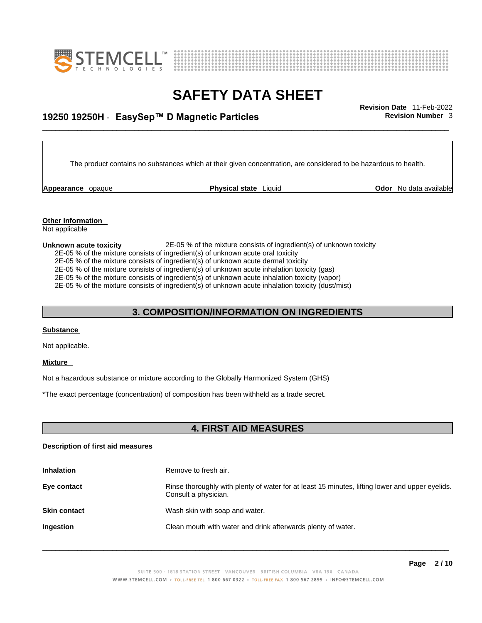



## \_\_\_\_\_\_\_\_\_\_\_\_\_\_\_\_\_\_\_\_\_\_\_\_\_\_\_\_\_\_\_\_\_\_\_\_\_\_\_\_\_\_\_\_\_\_\_\_\_\_\_\_\_\_\_\_\_\_\_\_\_\_\_\_\_\_\_\_\_\_\_\_\_\_\_\_\_\_\_\_\_\_\_\_\_\_\_\_\_\_\_\_\_ **Revision Date** 11-Feb-2022 **19250 19250H** - **EasySep™ D Magnetic Particles Revision Number** 3

The product contains no substances which at their given concentration, are considered to be hazardous to health.

**Appearance** opaque **Physical state** Liquid

**Odor** No data available

**Other Information**  Not applicable

#### **Unknown acute toxicity** 2E-05 % of the mixture consists of ingredient(s) of unknown toxicity

2E-05 % of the mixture consists of ingredient(s) of unknown acute oral toxicity

2E-05 % of the mixture consists of ingredient(s) of unknown acute dermal toxicity

2E-05 % of the mixture consists of ingredient(s) of unknown acute inhalation toxicity (gas)

2E-05 % of the mixture consists of ingredient(s) of unknown acute inhalation toxicity (vapor)

2E-05 % of the mixture consists of ingredient(s) of unknown acute inhalation toxicity (dust/mist)

#### **3. COMPOSITION/INFORMATION ON INGREDIENTS**

#### **Substance**

Not applicable.

#### **Mixture**

Not a hazardous substance or mixture according to the Globally Harmonized System (GHS)

\*The exact percentage (concentration) of composition has been withheld as a trade secret.

#### **4. FIRST AID MEASURES**

#### **Description of first aid measures**

| <b>Inhalation</b>   | Remove to fresh air.                                                                                                    |
|---------------------|-------------------------------------------------------------------------------------------------------------------------|
| Eye contact         | Rinse thoroughly with plenty of water for at least 15 minutes, lifting lower and upper eyelids.<br>Consult a physician. |
| <b>Skin contact</b> | Wash skin with soap and water.                                                                                          |
| <b>Ingestion</b>    | Clean mouth with water and drink afterwards plenty of water.                                                            |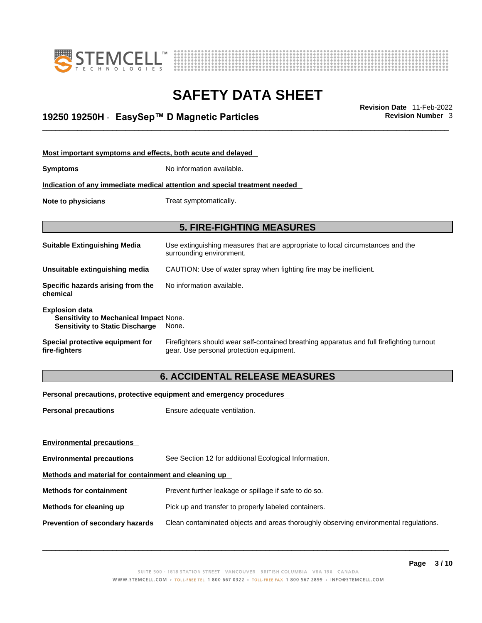



## \_\_\_\_\_\_\_\_\_\_\_\_\_\_\_\_\_\_\_\_\_\_\_\_\_\_\_\_\_\_\_\_\_\_\_\_\_\_\_\_\_\_\_\_\_\_\_\_\_\_\_\_\_\_\_\_\_\_\_\_\_\_\_\_\_\_\_\_\_\_\_\_\_\_\_\_\_\_\_\_\_\_\_\_\_\_\_\_\_\_\_\_\_ **Revision Date** 11-Feb-2022 **19250 19250H** - **EasySep™ D Magnetic Particles Revision Number** 3

| Most important symptoms and effects, both acute and delayed                                                      |                                                                                                                                       |
|------------------------------------------------------------------------------------------------------------------|---------------------------------------------------------------------------------------------------------------------------------------|
| <b>Symptoms</b>                                                                                                  | No information available.                                                                                                             |
|                                                                                                                  | Indication of any immediate medical attention and special treatment needed                                                            |
| Note to physicians                                                                                               | Treat symptomatically.                                                                                                                |
|                                                                                                                  |                                                                                                                                       |
|                                                                                                                  | <b>5. FIRE-FIGHTING MEASURES</b>                                                                                                      |
| <b>Suitable Extinguishing Media</b>                                                                              | Use extinguishing measures that are appropriate to local circumstances and the<br>surrounding environment.                            |
| Unsuitable extinguishing media                                                                                   | CAUTION: Use of water spray when fighting fire may be inefficient.                                                                    |
| Specific hazards arising from the<br>chemical                                                                    | No information available.                                                                                                             |
| <b>Explosion data</b><br><b>Sensitivity to Mechanical Impact None.</b><br><b>Sensitivity to Static Discharge</b> | None.                                                                                                                                 |
| Special protective equipment for<br>fire-fighters                                                                | Firefighters should wear self-contained breathing apparatus and full firefighting turnout<br>gear. Use personal protection equipment. |

### **6. ACCIDENTAL RELEASE MEASURES**

#### **Personal precautions, protective equipment and emergency procedures**

| <b>Personal precautions</b>                          | Ensure adequate ventilation.                                                         |  |
|------------------------------------------------------|--------------------------------------------------------------------------------------|--|
|                                                      |                                                                                      |  |
| <b>Environmental precautions</b>                     |                                                                                      |  |
| <b>Environmental precautions</b>                     | See Section 12 for additional Ecological Information.                                |  |
| Methods and material for containment and cleaning up |                                                                                      |  |
| <b>Methods for containment</b>                       | Prevent further leakage or spillage if safe to do so.                                |  |
| Methods for cleaning up                              | Pick up and transfer to properly labeled containers.                                 |  |
| Prevention of secondary hazards                      | Clean contaminated objects and areas thoroughly observing environmental regulations. |  |
|                                                      |                                                                                      |  |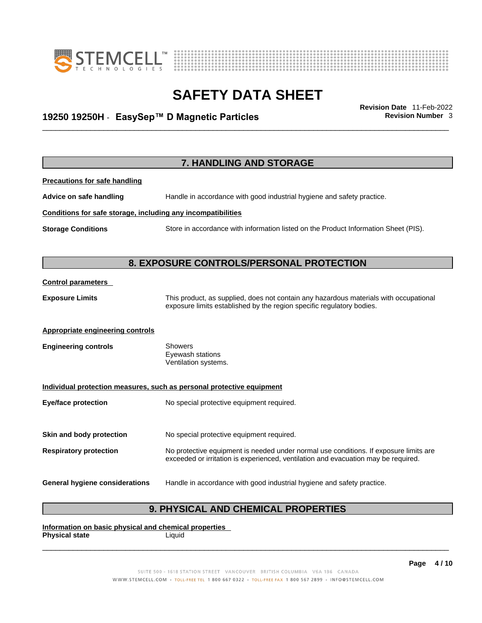



## \_\_\_\_\_\_\_\_\_\_\_\_\_\_\_\_\_\_\_\_\_\_\_\_\_\_\_\_\_\_\_\_\_\_\_\_\_\_\_\_\_\_\_\_\_\_\_\_\_\_\_\_\_\_\_\_\_\_\_\_\_\_\_\_\_\_\_\_\_\_\_\_\_\_\_\_\_\_\_\_\_\_\_\_\_\_\_\_\_\_\_\_\_ **Revision Date** 11-Feb-2022 **19250 19250H** - **EasySep™ D Magnetic Particles Revision Number** 3

| <b>7. HANDLING AND STORAGE</b>                               |                                                                                     |
|--------------------------------------------------------------|-------------------------------------------------------------------------------------|
| <b>Precautions for safe handling</b>                         |                                                                                     |
| Advice on safe handling                                      | Handle in accordance with good industrial hygiene and safety practice.              |
| Conditions for safe storage, including any incompatibilities |                                                                                     |
| <b>Storage Conditions</b>                                    | Store in accordance with information listed on the Product Information Sheet (PIS). |
|                                                              |                                                                                     |
| Ω                                                            | <b>EVROCURE CONTROL CIREDCONAL</b><br><b>DDATEATIAN</b>                             |

### **8. EXPOSURE CONTROLS/PERSONAL PROTECTION**

#### **Control parameters**

**Exposure Limits** This product, as supplied, does not contain any hazardous materials with occupational exposure limits established by the region specific regulatory bodies.

#### **Appropriate engineering controls**

**Engineering controls** Showers Eyewash stations Ventilation systems.

#### **Individual protection measures, such as personal protective equipment**

**Eye/face protection** No special protective equipment required.

**Skin and body protection** No special protective equipment required.

**Respiratory protection** No protective equipment is needed under normal use conditions. If exposure limits are exceeded or irritation is experienced, ventilation and evacuation may be required.

#### **General hygiene considerations** Handle in accordance with good industrial hygiene and safety practice.

### **9. PHYSICAL AND CHEMICAL PROPERTIES**

**Information on basic physical and chemical properties Physical state** Liquid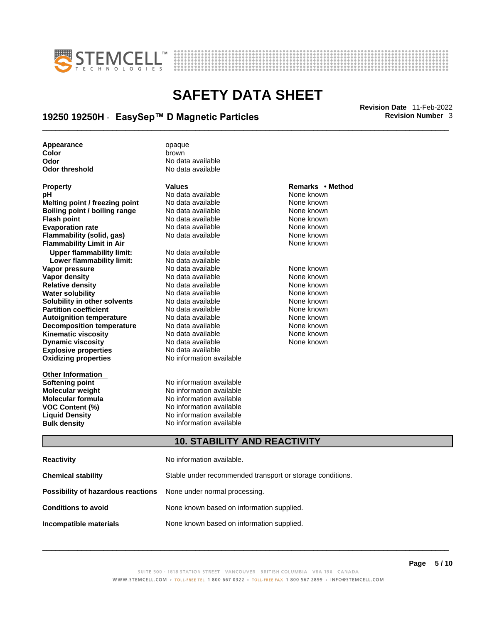



## \_\_\_\_\_\_\_\_\_\_\_\_\_\_\_\_\_\_\_\_\_\_\_\_\_\_\_\_\_\_\_\_\_\_\_\_\_\_\_\_\_\_\_\_\_\_\_\_\_\_\_\_\_\_\_\_\_\_\_\_\_\_\_\_\_\_\_\_\_\_\_\_\_\_\_\_\_\_\_\_\_\_\_\_\_\_\_\_\_\_\_\_\_ **Revision Date** 11-Feb-2022 **19250 19250H** - **EasySep™ D Magnetic Particles Revision Number** 3

**Appearance** opaque **color**<br> **Color** brown

**Explosive properties**<br> **Oxidizing properties**<br> **Oxidizing properties**<br> **No information available Oxidizing properties pH**<br> **No data available** Mome known<br> **No data available** Mome known<br>
None known **Melting point / freezing point** No data available<br> **Boiling point / boiling range** No data available **Boiling point / boiling range** No data available None known<br> **Flash point** None known<br>
No data available None Known None known **Flash point** No data available **Evaporation rate Cone Cone Access Mone Cone Cone Cone Access Provident Cone Cone Access Provident Cone known**<br> **Flammability (solid. gas)** No data available Cone Cone Known **Flammability (solid, gas)** No data available None known **Flammability Limit in Air None known None known Upper flammability limit:** No data available **Lower flammability limit:** No data available **Vapor pressure** 1980 in the Modata available 1980 in the known None known<br> **Vapor density** 1980 in the None Known None known None known **Vapor density** No data available None known **Relative density Water solubility** No data available None known **Solubility in other solvents** No data available None known **Partition coefficient**<br> **Autoignition temperature**<br>
No data available None Known<br>
None known **Autoignition temperature** Mo data available Mone known<br> **Decomposition temperature** No data available None known **Decomposition temperature** No data available<br> **Kinematic viscosity** No data available **Kinematic viscosity No data available None known**<br> **Discussible No data available None known**<br>
None known **Dynamic viscosity No data available None known** 

**Other Information** 

**Color** brown **Odor No data available**<br> **Odor threshold No data available** No data available

**Softening point**<br> **Molecular weight**<br> **Molecular weight**<br> **Molecular weight**<br> **Molecular weight No information available Molecular formula** No information available **VOC Content (%)** No information available **Liquid Density** No information available **Bulk density No information available** 

#### **Property Remarks • Remarks • Remarks • Remarks • Remarks • Remarks • Remarks • Method**

#### **10. STABILITY AND REACTIVITY**

| <b>Reactivity</b>                                                       | No information available.                                 |
|-------------------------------------------------------------------------|-----------------------------------------------------------|
| Chemical stability                                                      | Stable under recommended transport or storage conditions. |
| <b>Possibility of hazardous reactions</b> None under normal processing. |                                                           |
| <b>Conditions to avoid</b>                                              | None known based on information supplied.                 |
| Incompatible materials                                                  | None known based on information supplied.                 |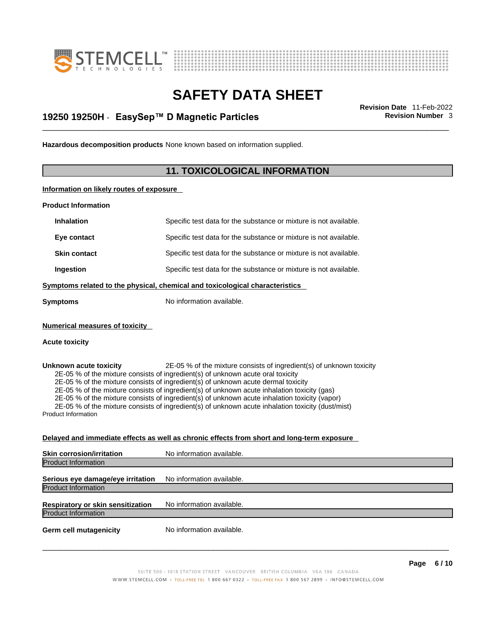



## \_\_\_\_\_\_\_\_\_\_\_\_\_\_\_\_\_\_\_\_\_\_\_\_\_\_\_\_\_\_\_\_\_\_\_\_\_\_\_\_\_\_\_\_\_\_\_\_\_\_\_\_\_\_\_\_\_\_\_\_\_\_\_\_\_\_\_\_\_\_\_\_\_\_\_\_\_\_\_\_\_\_\_\_\_\_\_\_\_\_\_\_\_ **Revision Date** 11-Feb-2022 **19250 19250H** - **EasySep™ D Magnetic Particles Revision Number** 3

**Hazardous decomposition products** None known based on information supplied.

### **11. TOXICOLOGICAL INFORMATION**

**Information on likely routes of exposure**

**Product Information**

| <b>Inhalation</b>                                    | Specific test data for the substance or mixture is not available.                                                                                                                                                                                                                                                                                                                                                                                                                                                                                 |
|------------------------------------------------------|---------------------------------------------------------------------------------------------------------------------------------------------------------------------------------------------------------------------------------------------------------------------------------------------------------------------------------------------------------------------------------------------------------------------------------------------------------------------------------------------------------------------------------------------------|
| Eye contact                                          | Specific test data for the substance or mixture is not available.                                                                                                                                                                                                                                                                                                                                                                                                                                                                                 |
| <b>Skin contact</b>                                  | Specific test data for the substance or mixture is not available.                                                                                                                                                                                                                                                                                                                                                                                                                                                                                 |
| Ingestion                                            | Specific test data for the substance or mixture is not available.                                                                                                                                                                                                                                                                                                                                                                                                                                                                                 |
|                                                      | Symptoms related to the physical, chemical and toxicological characteristics                                                                                                                                                                                                                                                                                                                                                                                                                                                                      |
| Symptoms                                             | No information available.                                                                                                                                                                                                                                                                                                                                                                                                                                                                                                                         |
| <b>Numerical measures of toxicity</b>                |                                                                                                                                                                                                                                                                                                                                                                                                                                                                                                                                                   |
| <b>Acute toxicity</b>                                |                                                                                                                                                                                                                                                                                                                                                                                                                                                                                                                                                   |
| Unknown acute toxicity<br><b>Product Information</b> | 2E-05 % of the mixture consists of ingredient(s) of unknown toxicity<br>2E-05 % of the mixture consists of ingredient(s) of unknown acute oral toxicity<br>2E-05 % of the mixture consists of ingredient(s) of unknown acute dermal toxicity<br>2E-05 % of the mixture consists of ingredient(s) of unknown acute inhalation toxicity (gas)<br>2E-05 % of the mixture consists of ingredient(s) of unknown acute inhalation toxicity (vapor)<br>2E-05 % of the mixture consists of ingredient(s) of unknown acute inhalation toxicity (dust/mist) |
|                                                      | Delayed and immediate effects as well as chronic effects from short and long-term exposure                                                                                                                                                                                                                                                                                                                                                                                                                                                        |
| Skin corrosion/irritation                            | No information available.                                                                                                                                                                                                                                                                                                                                                                                                                                                                                                                         |
| <b>Product Information</b>                           |                                                                                                                                                                                                                                                                                                                                                                                                                                                                                                                                                   |
| Serious eye damage/eye irritation                    | No information available.                                                                                                                                                                                                                                                                                                                                                                                                                                                                                                                         |
| <b>Product Information</b>                           |                                                                                                                                                                                                                                                                                                                                                                                                                                                                                                                                                   |
| Respiratory or skin sensitization                    | No information available.                                                                                                                                                                                                                                                                                                                                                                                                                                                                                                                         |
| <b>Product Information</b>                           |                                                                                                                                                                                                                                                                                                                                                                                                                                                                                                                                                   |
|                                                      |                                                                                                                                                                                                                                                                                                                                                                                                                                                                                                                                                   |

**Germ cell mutagenicity** No information available.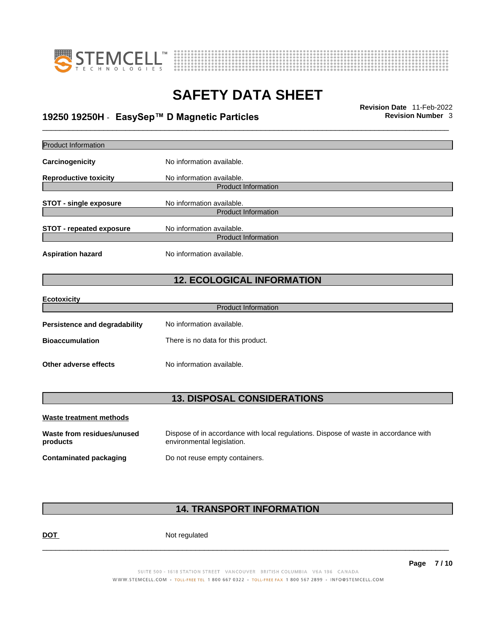



## \_\_\_\_\_\_\_\_\_\_\_\_\_\_\_\_\_\_\_\_\_\_\_\_\_\_\_\_\_\_\_\_\_\_\_\_\_\_\_\_\_\_\_\_\_\_\_\_\_\_\_\_\_\_\_\_\_\_\_\_\_\_\_\_\_\_\_\_\_\_\_\_\_\_\_\_\_\_\_\_\_\_\_\_\_\_\_\_\_\_\_\_\_ **Revision Date** 11-Feb-2022 **19250 19250H** - **EasySep™ D Magnetic Particles Revision Number** 3

| Product Information                    |                                                                                                                    |
|----------------------------------------|--------------------------------------------------------------------------------------------------------------------|
| Carcinogenicity                        | No information available.                                                                                          |
| <b>Reproductive toxicity</b>           | No information available.                                                                                          |
|                                        | <b>Product Information</b>                                                                                         |
| <b>STOT - single exposure</b>          | No information available.                                                                                          |
|                                        | <b>Product Information</b>                                                                                         |
| <b>STOT - repeated exposure</b>        | No information available.                                                                                          |
|                                        | <b>Product Information</b>                                                                                         |
| <b>Aspiration hazard</b>               | No information available.                                                                                          |
|                                        | <b>12. ECOLOGICAL INFORMATION</b>                                                                                  |
| <b>Ecotoxicity</b>                     |                                                                                                                    |
|                                        | <b>Product Information</b>                                                                                         |
| Persistence and degradability          | No information available.                                                                                          |
| <b>Bioaccumulation</b>                 | There is no data for this product.                                                                                 |
| Other adverse effects                  | No information available.                                                                                          |
|                                        |                                                                                                                    |
|                                        | <b>13. DISPOSAL CONSIDERATIONS</b>                                                                                 |
| <b>Waste treatment methods</b>         |                                                                                                                    |
| Waste from residues/unused<br>products | Dispose of in accordance with local regulations. Dispose of waste in accordance with<br>environmental legislation. |

**Contaminated packaging** Do not reuse empty containers.

### **14. TRANSPORT INFORMATION**

DOT Not regulated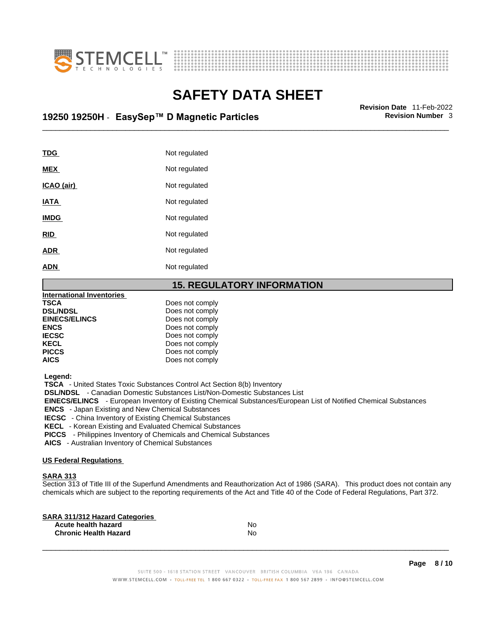



## \_\_\_\_\_\_\_\_\_\_\_\_\_\_\_\_\_\_\_\_\_\_\_\_\_\_\_\_\_\_\_\_\_\_\_\_\_\_\_\_\_\_\_\_\_\_\_\_\_\_\_\_\_\_\_\_\_\_\_\_\_\_\_\_\_\_\_\_\_\_\_\_\_\_\_\_\_\_\_\_\_\_\_\_\_\_\_\_\_\_\_\_\_ **Revision Date** 11-Feb-2022 **19250 19250H** - **EasySep™ D Magnetic Particles Revision Number** 3

| TDG         | Not regulated |
|-------------|---------------|
| <b>MEX</b>  | Not regulated |
| ICAO (air)  | Not regulated |
| <b>IATA</b> | Not regulated |
| <b>IMDG</b> | Not regulated |
| <b>RID</b>  | Not regulated |
| <b>ADR</b>  | Not regulated |
| <b>ADN</b>  | Not regulated |
|             |               |

#### **15. REGULATORY INFORMATION**

| <b>International Inventories</b> |                 |  |
|----------------------------------|-----------------|--|
| <b>TSCA</b>                      | Does not comply |  |
| <b>DSL/NDSL</b>                  | Does not comply |  |
| <b>EINECS/ELINCS</b>             | Does not comply |  |
| <b>ENCS</b>                      | Does not comply |  |
| <b>IECSC</b>                     | Does not comply |  |
| <b>KECL</b>                      | Does not comply |  |
| <b>PICCS</b>                     | Does not comply |  |
| <b>AICS</b>                      | Does not comply |  |
|                                  |                 |  |

 **Legend:** 

 **TSCA** - United States Toxic Substances Control Act Section 8(b) Inventory

 **DSL/NDSL** - Canadian Domestic Substances List/Non-Domestic Substances List

 **EINECS/ELINCS** - European Inventory of Existing Chemical Substances/European List of Notified Chemical Substances

 **ENCS** - Japan Existing and New Chemical Substances

 **IECSC** - China Inventory of Existing Chemical Substances

 **KECL** - Korean Existing and Evaluated Chemical Substances

 **PICCS** - Philippines Inventory of Chemicals and Chemical Substances

 **AICS** - Australian Inventory of Chemical Substances

#### **US Federal Regulations**

#### **SARA 313**

Section 313 of Title III of the Superfund Amendments and Reauthorization Act of 1986 (SARA). This product does not contain any chemicals which are subject to the reporting requirements of the Act and Title 40 of the Code of Federal Regulations, Part 372.

| No |  |
|----|--|
| N٥ |  |
|    |  |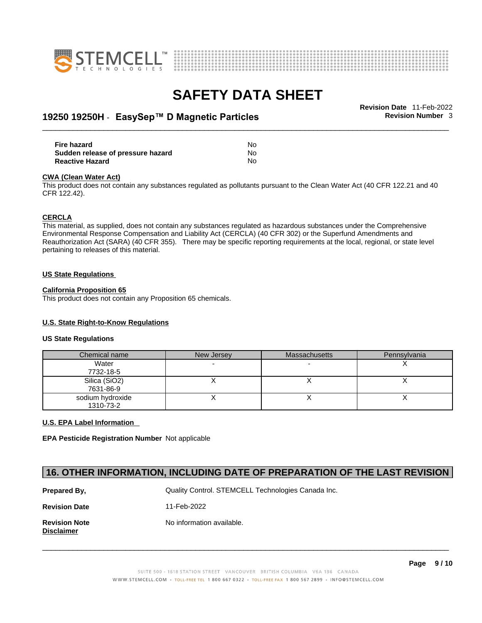



## \_\_\_\_\_\_\_\_\_\_\_\_\_\_\_\_\_\_\_\_\_\_\_\_\_\_\_\_\_\_\_\_\_\_\_\_\_\_\_\_\_\_\_\_\_\_\_\_\_\_\_\_\_\_\_\_\_\_\_\_\_\_\_\_\_\_\_\_\_\_\_\_\_\_\_\_\_\_\_\_\_\_\_\_\_\_\_\_\_\_\_\_\_ **Revision Date** 11-Feb-2022 **19250 19250H** - **EasySep™ D Magnetic Particles Revision Number** 3

| Fire hazard                       | No. |  |
|-----------------------------------|-----|--|
| Sudden release of pressure hazard | No. |  |
| <b>Reactive Hazard</b>            | No  |  |

#### **CWA** (Clean Water Act)

This product does not contain any substances regulated as pollutants pursuant to the Clean Water Act (40 CFR 122.21 and 40 CFR 122.42).

#### **CERCLA**

This material, as supplied, does not contain any substances regulated as hazardous substances under the Comprehensive Environmental Response Compensation and Liability Act (CERCLA) (40 CFR 302) or the Superfund Amendments and Reauthorization Act (SARA) (40 CFR 355). There may be specific reporting requirements at the local, regional, or state level pertaining to releases of this material.

#### **US State Regulations**

#### **California Proposition 65**

This product does not contain any Proposition 65 chemicals.

#### **U.S. State Right-to-Know Regulations**

#### **US State Regulations**

| Chemical name                 | New Jersey | <b>Massachusetts</b> | Pennsylvania |
|-------------------------------|------------|----------------------|--------------|
| Water<br>7732-18-5            |            |                      |              |
| Silica (SiO2)                 |            |                      |              |
| 7631-86-9<br>sodium hydroxide |            |                      |              |
| 1310-73-2                     |            |                      |              |

#### **U.S. EPA Label Information**

**EPA Pesticide Registration Number** Not applicable

#### **16. OTHER INFORMATION, INCLUDING DATE OF PREPARATION OF THE LAST REVISION**

| Prepared By,                       | Quality Control. STEMCELL Technologies Canada Inc. |  |  |
|------------------------------------|----------------------------------------------------|--|--|
| <b>Revision Date</b>               | 11-Feb-2022                                        |  |  |
| <b>Revision Note</b><br>Disclaimer | No information available.                          |  |  |